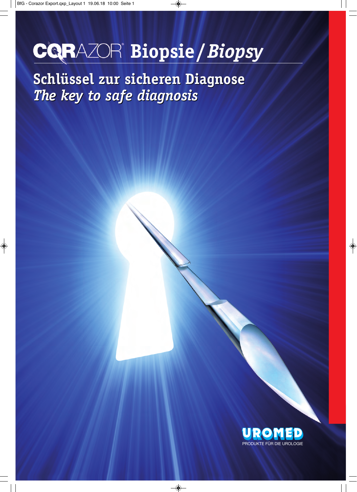## **Biopsie/***Biopsy*

**Schlüssel zur sicheren Diagnose** *The key to safe diagnosis*

PRODUKTE FÜR DIE UROLOGIE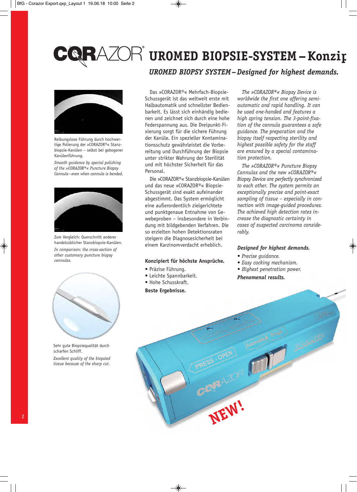Reibungslose Führung durch hochwertige Polierung der »CORAZOR®« Stanzbiopsie-Kanülen – selbst bei gebogener Kanülenführung.

*Smooth guidance by special polishing of the »CORAZOR®« Puncture Biopsy Cannula –even when cannula is bended.*



Zum Vergleich: Querschnitt anderer handelsüblicher Stanzbiopsie-Kanülen. *In comparison: the cross-section of other customary puncture biopsy cannulas.*



Sehr gute Biopsiequalität durch scharfen Schliff. *Excellent quality of the biopsied* 

*tissue because of the sharp cut.*

## $Z\!\!\!\!\!\!\!\nearrow$  UROMED BIOPSIE-SYSTEM – Konzi

*UROMED BIOPSY SYSTEM –Designed for highest demands.*

Das »CORAZOR®« Mehrfach-Biopsie-Schuss gerät ist das weltweit erste mit Halbautomatik und schnellster Bedien barkeit. Es lässt sich einhändig bedienen und zeichnet sich durch eine hohe Federspannung aus. Die Dreipunkt-Fixierung sorgt für die sichere Führung der Kanüle. Ein spezieller Kontaminationsschutz gewährleistet die Vorbereitung und Durchführung der Biopsie unter strikter Wahrung der Sterilität und mit höchster Sicherheit für das **Parconal** 

Die »CORAZOR®« Stanzbiopsie-Kanülen und das neue »CORAZOR®« Biopsie-Schuss gerät sind exakt aufeinander abgestimmt. Das System ermöglicht eine außerordentlich zielgerichtete und punktgenaue Entnahme von Gewebeproben – insbesondere in Verbindung mit bildgebenden Verfahren. Die so erzielten hohen Detektionsraten steigern die Diagnosesicherheit bei einem Karzinomverdacht erheblich.

#### **Konzipiert für höchste Ansprüche.**

- Präzise Führung.
- Leichte Spannbarkeit.
- Hohe Schusskraft.
- **Beste Ergebnisse.**

*The »CORAZOR®« Biopsy Device is worldwide the first one offering semiautomatic and rapid handling. It can be used one-handed and features a high spring tension. The 3-point-fixation of the cannula guarantees a safe guidance. The preparation and the biopsy itself respecting sterility and highest possible safety for the staff are ensured by a special contamination protection.*

*The »CORAZOR®« Puncture Biopsy Cannulas and the new »CORAZOR®« Biopsy Device are perfectly synchronized to each other. The system permits an exceptionally precise and point-exact sampling of tissue – especially in connection with image-guided procedures. The achieved high detection rates increase the diagnostic certainty in cases of suspected carcinoma considerably.*

#### *Designed for highest demands.*

- *Precise guidance.*
- *Easy cocking mechanism.*

**RAZOR (III)** UBENTEL

*• Highest penetration power.*

*Phenomenal results.*

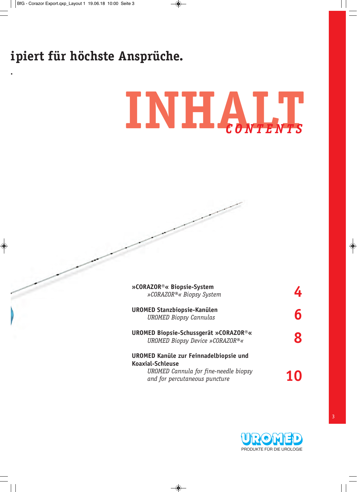## **ipiert für höchste Ansprüche.**

# **INHALT** *C O N T E N T S*

| »CORAZOR®« Biopsie-System<br>»CORAZOR®« Biopsy System                           |  |
|---------------------------------------------------------------------------------|--|
| UROMED Stanzbiopsie-Kanülen<br><b>UROMED Biopsy Cannulas</b>                    |  |
| <b>UROMED Biopsie-Schussgerät »CORAZOR®«</b><br>UROMED Biopsy Device »CORAZOR®« |  |
| UROMED Kanüle zur Feinnadelbiopsie und<br><b>Koaxial-Schleuse</b>               |  |
| UROMED Cannula for fine-needle biopsy<br>and for percutaneous puncture          |  |

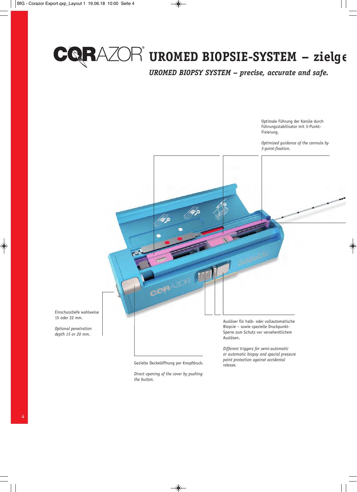

## $\mathsf{AZ}\hspace{-1.5pt}\widehat{\otimes}\hspace{-1.5pt} \mathsf{R}$  uromed biopsie-system – zielg

*UROMED BIOPSY SYSTEM – precise, accurate and safe.*

Optimale Führung der Kanüle durch Führungsstabilisator mit 3-Punkt-Fixierung.

*Optimized guidance of the cannula by 3-point-fixation.*



Einschusstiefe wahlweise 15 oder 22 mm.

*Optional penetration depth 15 or 20 mm.*

Sperre zum Schutz vor versehentlichem Auslösen.

*Different triggers for semi-automatic or automatic biopsy and special pressure point protection against accidental* 

*release.* Gezielte Deckelöffnung per Knopfdruck.

*Direct opening of the cover by pushing the button.*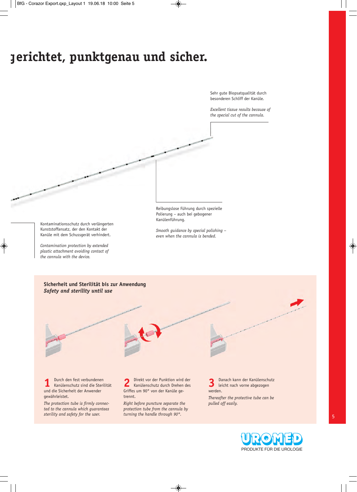## **gerichtet, punktgenau und sicher.**

Sehr gute Biopsatqualität durch besonderen Schliff der Kanüle.

*Excellent tissue results because of the special cut of the cannula.*

Kontaminationsschutz durch verlängerten Kunststoffansatz, der den Kontakt der Kanüle mit dem Schussgerät verhindert.

*Contamination protection by extended plastic attachment avoiding contact of the cannula with the device.*

Reibungslose Führung durch spezielle Polierung – auch bei gebogener Kanülenführung.

*Smooth guidance by special polishing – even when the cannula is bended.*

**Sicherheit und Sterilität bis zur Anwendung** *Safety and sterility until use*

**1** Durch den fest verbundenen Kanülenschutz sind die Sterilität und die Sicherheit der Anwender gewährleistet.

*The protection tube is firmly connected to the cannula which guarantees sterility and safety for the user.*

**2** Direkt vor der Punktion wird der Kanülenschutz durch Drehen des Griffes um 90° von der Kanüle getrennt.

*Right before puncture separate the protection tube from the cannula by turning the handle through 90°.*

**3** Danach kann der Kanülenschutz leicht nach vorne abgezogen werden.

*Thereafter the protective tube can be pulled off easily.*

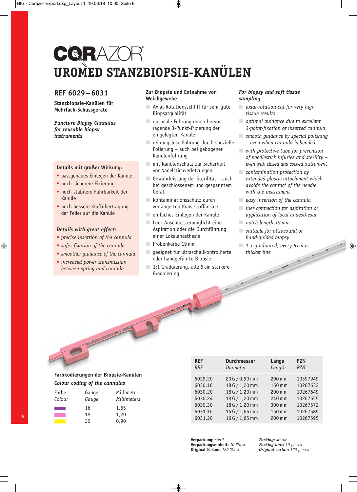## CQRAZOR **UROMED STANZBIOPSIE-KANÜLEN**

#### **REF 6029–6031**

**Stanzbiopsie-Kanülen für Mehrfach-Schussgeräte**

*Puncture Biopsy Cannulas for reusable biopsy instruments*

#### **Details mit großer Wirkung:**

- passgenaues Einlegen der Kanüle
- noch sicherere Fixierung
- noch stabilere Führbarkeit der Kanüle
- noch bessere Kraftübertragung der Feder auf die Kanüle

#### *Details with great effect:*

- *precise insertion of the cannula*
- *safer fixation of the cannula*
- *smoother guidance of the cannula*
- *increased power transmission between spring and cannula*

#### **Zur Biopsie und Entnahme von Weichgewebe**

- Axial-Rotationsschliff für sehr qute Biopsatqualität
- optimale Führung durch hervorragende 3-Punkt-Fixierung der eingelegten Kanüle
- $\Box$  reibungslose Führung durch spezielle Polierung – auch bei gebogener Kanülenführung
- mit Kanülenschutz zur Sicherheit vor Nadelstichverletzungen
- Gewährleistung der Sterilität auch bei geschlossenem und gespanntem Gerät
- $\blacksquare$  Kontaminationsschutz durch verlängerten Kunststoffansatz
- einfaches Einlegen der Kanüle
- Luer-Anschluss ermöglicht eine Aspiration oder die Durchführung einer Lokalanästhesie
- Probenkerbe 19 mm
- geeignet für ultraschallkontrollierte oder handgeführte Biopsie
- 1:1 Graduierung, alle 5 cm stärkere Graduierung

#### *For biopsy and soft tissue sampling*

- *axial-rotation-cut for very high tissue results*
- *optimal guidance due to excellent 3-point-fixation of inserted cannula*
- *smooth guidance by special polishing – even when cannula is bended*
- *with protective tube for prevention of needlestick injuries and sterility – even with closed and cocked instrument*
- *contamination protection by extended plastic attachment which avoids the contact of the needle with the instrument*
- *easy insertion of the cannula*
- *luer connection for aspiration or application of local anaesthesia*
- *notch length 19 mm*
- *suitable for ultrasound or hand-guided biopsy*
- *1:1 graduated, every 5 cm a thicker line*

#### **Farbkodierungen der Biopsie-Kanülen** *Colour coding of the cannulas*

| Farbe<br>Colour | Gauge<br>Gauge | Millimeter<br>Millimeters |
|-----------------|----------------|---------------------------|
|                 | 16             | 1,65                      |
|                 | 18             | 1,20                      |
|                 | 20             | 0.90                      |

| <b>REF</b><br><b>REF</b> | <b>Durchmesser</b><br>Diameter | Länge<br>Length | <b>PZN</b><br>P <sub>ZN</sub> |
|--------------------------|--------------------------------|-----------------|-------------------------------|
| 6029.20                  | 20 G / 0,90 mm                 | 200 mm          | 10397949                      |
| 6030.16                  | 18 G / 1,20 mm                 | 160 mm          | 10267632                      |
| 6030.20                  | 18 G / 1,20 mm                 | 200 mm          | 10267649                      |
| 6030.24                  | 18 G / 1,20 mm                 | 240 mm          | 10267655                      |
| 6030.30                  | 18 G / 1,20 mm                 | 300 mm          | 10267572                      |
| 6031.16                  | 16 G / 1,65 mm                 | 160 mm          | 10267589                      |
| 6031.20                  | 16 G / 1,65 mm                 | 200 mm          | 10267595                      |

**Verpackung:** *steril* **Verpackungseinheit:** *10 Stück* **Original-Karton:** *120 Stück*

*Packing: sterile Packing unit: 10 pieces Original carton: 120 pieces*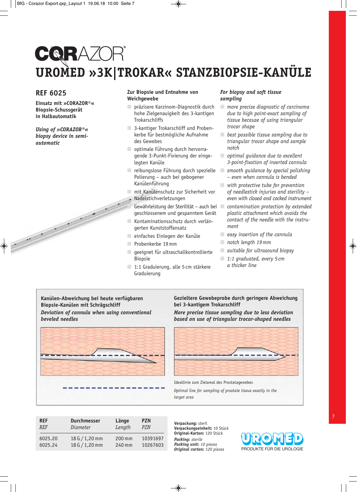## **CQRAZOR UROMED »3K|TROKAR« STANZBIOPSIE-KANÜLE**

#### **REF 6025**

No of the Contract of the Contract of

**Einsatz mit »CORAZOR®« Biopsie-Schussgerät in Halbautomatik**

*Using of »CORAZOR®« biopsy device in semiautomatic*

#### **Zur Biopsie und Entnahme von Weichgewebe**

- präzisere Karzinom-Diagnostik durch hohe Zielgenauigkeit des 3-kantigen **Trokarschliffs**
- 3-kantiger Trokarschliff und Probenkerbe für bestmögliche Aufnahme des Gewebes
- optimale Führung durch hervorragende 3-Punkt-Fixierung der eingelegten Kanüle
- reibungslose Führung durch spezielle Polierung – auch bei gebogener Kanülenführung
- mit Kanülenschutz zur Sicherheit vor Nadelstichverletzungen
- Gewährleistung der Sterilität auch bei geschlossenem und gespanntem Gerät
- Kontaminationsschutz durch verlängerten Kunststoffansatz
- $\Box$  einfaches Einlegen der Kanüle
- Probenkerbe 19 mm
- geeignet für ultraschallkontrollierte Biopsie
- 1:1 Graduierung, alle 5 cm stärkere Graduierung

#### *For biopsy and soft tissue sampling*

- *more precise diagnostic of carcinoma due to high point-exact sampling of tissue because of using triangular trocar shape*
- *best possible tissue sampling due to triangular trocar shape and sample notch*
- *optimal guidance due to excellent 3-point-fixation of inserted cannula*
- *smooth guidance by special polishing – even when cannula is bended*
- *with protective tube for prevention of needlestick injuries and sterility – even with closed and cocked instrument*
- *contamination protection by extended plastic attachment which avoids the contact of the needle with the instrument*
- *easy insertion of the cannula*
- *notch length 19 mm*
- *suitable for ultrasound biopsy*
- *1:1 graduated, every 5 cm a thicker line*

**Kanu**̈**len-Abweichung bei heute verfu**̈**gbaren Biopsie-Kanu**̈**len mit Schrägschliff** *Deviation of cannula when using conventional beveled needles*



#### **Gezieltere Gewebeprobe durch geringere Abweichung bei 3-kantigem Trokarschliff**

*More precise tissue sampling due to less deviation based on use of triangular trocar-shaped needles*



Ideallinie zum Zielareal des Prostatagewebes

*Optimal line for sampling of prostate tissue exactly in the target area*

| <b>REF</b> | <b>Durchmesser</b> | Länge  | <b>PZN</b> |
|------------|--------------------|--------|------------|
| <b>REF</b> | Diameter           | Length | <b>PZN</b> |
| 6025.20    | 18 G $/$ 1,20 mm   | 200 mm | 10391697   |
| 6025.24    | 18 G $/$ 1,20 mm   | 240 mm | 10267603   |

**Verpackung:** steril **Verpackungseinheit:** 10 Stück **Original-Karton:** 120 Stück *Packing: sterile Packing unit: 10 pieces Original carton: 120 pieces*

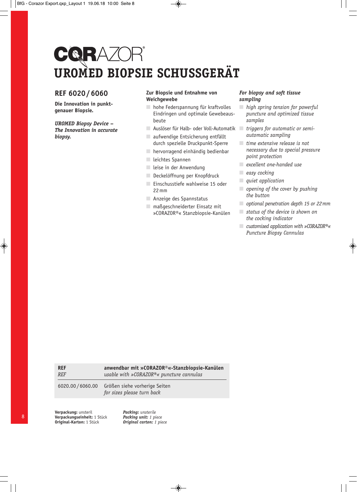## CQRAZOR **UROMED BIOPSIE SCHUSSGERÄT**

### **REF 6020 / 6060**

**Die Innovation in punktgenauer Biopsie.**

*UROMED Biopsy Device – The Innovation in accurate biopsy.*

#### **Zur Biopsie und Entnahme von Weichgewebe**

- $\Box$  hohe Federspannung für kraftvolles Eindringen und optimale Gewebeausbeute
- Auslöser für Halb- oder Voll-Automatik *triggers for automatic or semi-*■ aufwendige Entsicherung entfällt durch spezielle Druckpunkt-Sperre
- hervorragend einhändig bedienbar
- leichtes Spannen
- leise in der Anwendung
- Deckelöffnung per Knopfdruck
- Einschusstiefe wahlweise 15 oder 22 mm
- Anzeige des Spannstatus
- maßgeschneiderter Einsatz mit »CORAZOR®« Stanzbiopsie-Kanülen

#### *For biopsy and soft tissue sampling*

- *high spring tension for powerful puncture and optimized tissue samples*
- *automatic sampling*
- *time extensive release is not necessary due to special pressure point protection*
- *excellent one-handed use*
- *easy cocking*
- *quiet application*
- *opening of the cover by pushing the button*
- *optional penetration depth 15 or 22 mm*
- *status of the device is shown on the cocking indicator*
- *customised application with »CORAZOR®« Puncture Biopsy Cannulas*

| <b>REF</b>        | anwendbar mit »CORAZOR®«-Stanzbiopsie-Kanülen               |
|-------------------|-------------------------------------------------------------|
| <b>REF</b>        | usable with »CORAZOR®« puncture cannulas                    |
| 6020.00 / 6060.00 | Größen siehe vorherige Seiten<br>for sizes please turn back |

**Verpackung:** unsteril **Verpackungseinheit:** 1 Stück **Original-Karton:** 1 Stück

*Packing: unsterile Packing unit: 1 piece Original carton: 1 piece*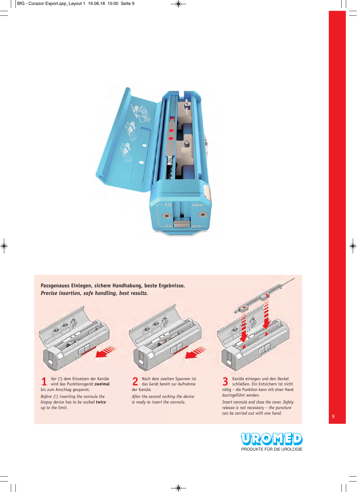

**Passgenaues Einlegen, sichere Handhabung, beste Ergebnisse.** *Precise insertion, safe handling, best results.*



**1** Vor (!) dem Einsetzen der Kanüle wird das Punktionsgerät **zweimal** bis zum Anschlag gespannt.

*Before (!) inserting the cannula the biopsy device has to be cocked twice up to the limit.*



**2** Nach dem zweiten Spannen ist das Gerät bereit zur Aufnahme der Kanüle. *After the second cocking the device is ready to insert the cannula.*



**3** Kanüle einlegen und den Deckel schließen. Ein Entsichern ist nicht nötig – die Punktion kann mit einer Hand durchgeführt werden.

*Insert cannula and close the cover. Safety release is not necessary – the puncture can be carried out with one hand.*

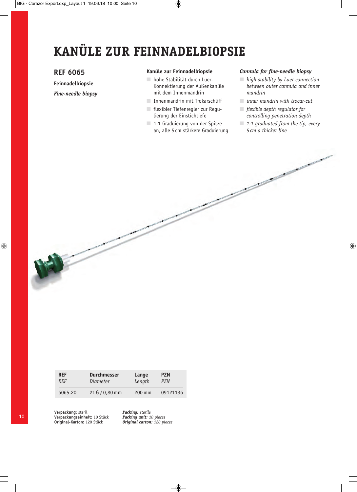## **KANÜLE ZUR FEINNADELBIOPSIE**

#### **REF 6065**

**Feinnadelbiopsie**

*Fine-needle biopsy*

#### **Kanüle zur Feinnadelbiopsie**

- hohe Stabilität durch Luer-Konnektierung der Außenkanüle mit dem Innenmandrin
- Innenmandrin mit Trokarschliff
- flexibler Tiefenregler zur Regulierung der Einstichtiefe
- 1:1 Graduierung von der Spitze an, alle 5 cm stärkere Graduierung

#### *Cannula for fine-needle biopsy*

- *high stability by Luer connection between outer cannula and inner mandrin*
- *inner mandrin with trocar-cut*
- *flexible depth regulator for controlling penetration depth*
- *1:1 graduated from the tip, every 5 cm a thicker line*

| <b>REF</b> | <b>Durchmesser</b> | Länge    | <b>PZN</b> |
|------------|--------------------|----------|------------|
| <b>REF</b> | Diameter           | Length   | PZN        |
| 6065.20    | 21 G / 0,80 mm     | $200$ mm | 09121136   |

**Verpackung:** steril **Verpackungseinheit:** 10 Stück **Original-Karton:** 120 Stück

*Packing: sterile Packing unit: 10 pieces Original carton: 120 pieces*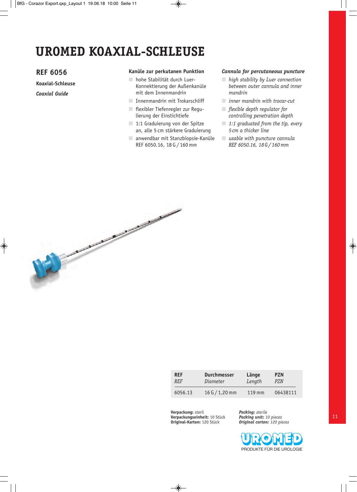## **UROMED KOAXIAL-SCHLEUSE**

#### **REF 6056**

**Koaxial-Schleuse**

*Coaxial Guide*

#### **Kanüle zur perkutanen Punktion**

- hohe Stabilität durch Luer-Konnektierung der Außenkanüle mit dem Innenmandrin
- Innenmandrin mit Trokarschliff
- flexibler Tiefenregler zur Regulierung der Einstichtiefe
- 1:1 Graduierung von der Spitze an, alle 5 cm stärkere Graduierung
- anwendbar mit Stanzbiopsie-Kanüle REF 6050.16, 18 G / 160 mm

#### *Cannula for percutaneous puncture*

- *high stability by Luer connection between outer cannula and inner mandrin*
- *inner mandrin with trocar-cut*
- *flexible depth regulator for controlling penetration depth*
- *1:1 graduated from the tip, every 5 cm a thicker line*
- *usable with puncture cannula REF 6050.16, 18 G / 160 mm*



| <b>REF</b>  | <b>Durchmesser</b> | Länge    | <b>PZN</b> |
|-------------|--------------------|----------|------------|
| <i>RF.F</i> | Diameter           | Length   | PZN        |
| 6056.13     | 16 G $/$ 1,20 mm   | $119$ mm | 06438111   |

**Verpackung:** steril **Verpackungseinheit:** 10 Stück **Original-Karton:** 120 Stück

*Packing: sterile Packing unit: 10 pieces Original carton: 120 pieces*